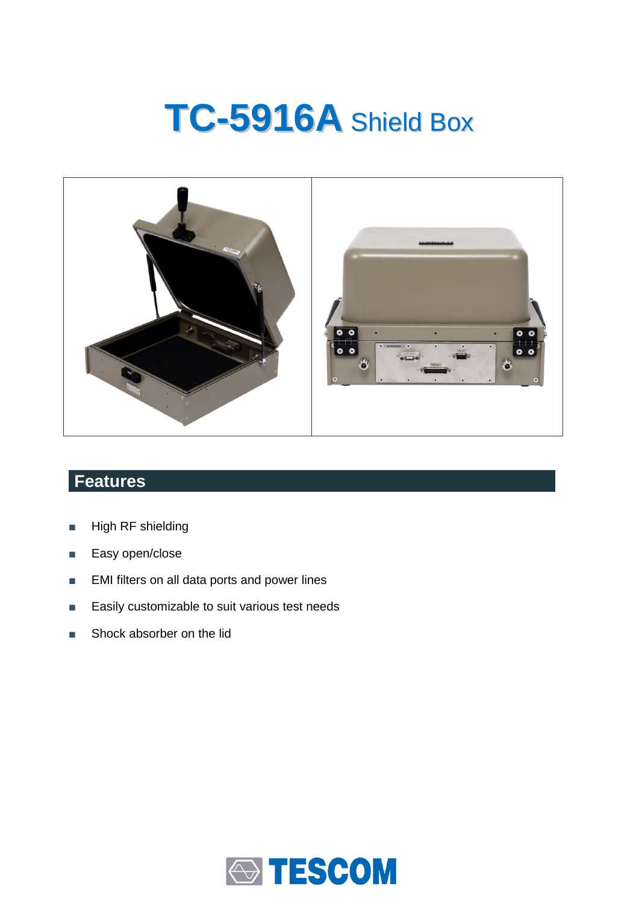# **TC-5916A** Shield Box



## **Features**

- High RF shielding
- Easy open/close
- EMI filters on all data ports and power lines
- Easily customizable to suit various test needs
- Shock absorber on the lid

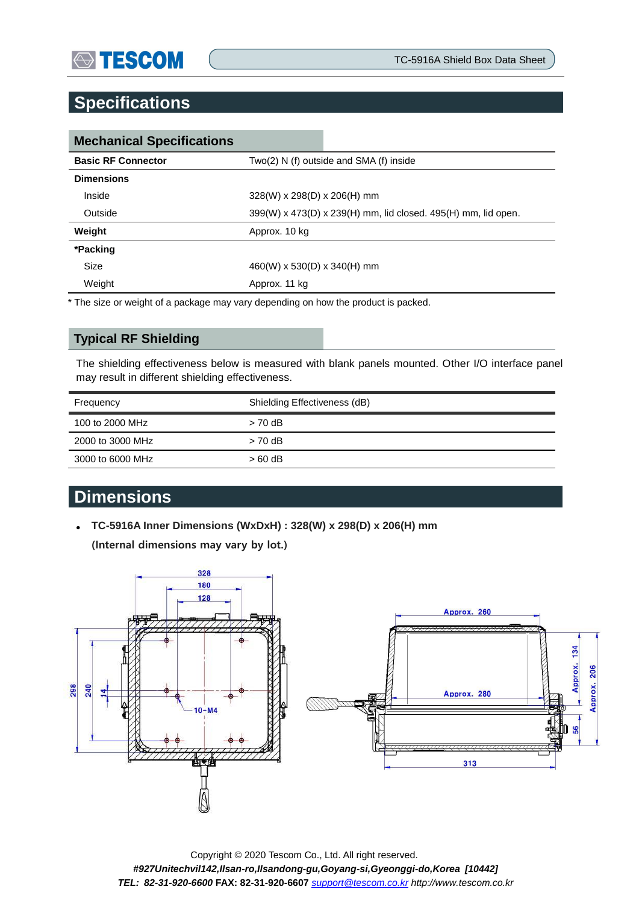## **Specifications**

| <b>Mechanical Specifications</b> |                                                               |  |
|----------------------------------|---------------------------------------------------------------|--|
| <b>Basic RF Connector</b>        | $Two(2) N(f)$ outside and SMA $(f)$ inside                    |  |
| <b>Dimensions</b>                |                                                               |  |
| Inside                           | $328(W)$ x 298(D) x 206(H) mm                                 |  |
| Outside                          | 399(W) x 473(D) x 239(H) mm, lid closed. 495(H) mm, lid open. |  |
| Weight                           | Approx. 10 kg                                                 |  |
| *Packing                         |                                                               |  |
| Size                             | 460(W) x 530(D) x 340(H) mm                                   |  |
| Weight                           | Approx. 11 kg                                                 |  |

\* The size or weight of a package may vary depending on how the product is packed.

#### **Typical RF Shielding**

The shielding effectiveness below is measured with blank panels mounted. Other I/O interface panel may result in different shielding effectiveness.

| Frequency        | Shielding Effectiveness (dB) |
|------------------|------------------------------|
| 100 to 2000 MHz  | $> 70$ dB                    |
| 2000 to 3000 MHz | $> 70$ dB                    |
| 3000 to 6000 MHz | $>60$ dB                     |

## **Dimensions**

 **TC-5916A Inner Dimensions (WxDxH) : 328(W) x 298(D) x 206(H) mm**  (Internal dimensions may vary by lot.)



Copyright © 2020 Tescom Co., Ltd. All right reserved. *#927Unitechvil142,Ilsan-ro,Ilsandong-gu,Goyang-si,Gyeonggi-do,Korea [10442] TEL: 82-31-920-6600* **FAX: 82-31-920-6607** *[support@tescom.co.kr](mailto:support@tescom.co.kr) http://www.tescom.co.kr*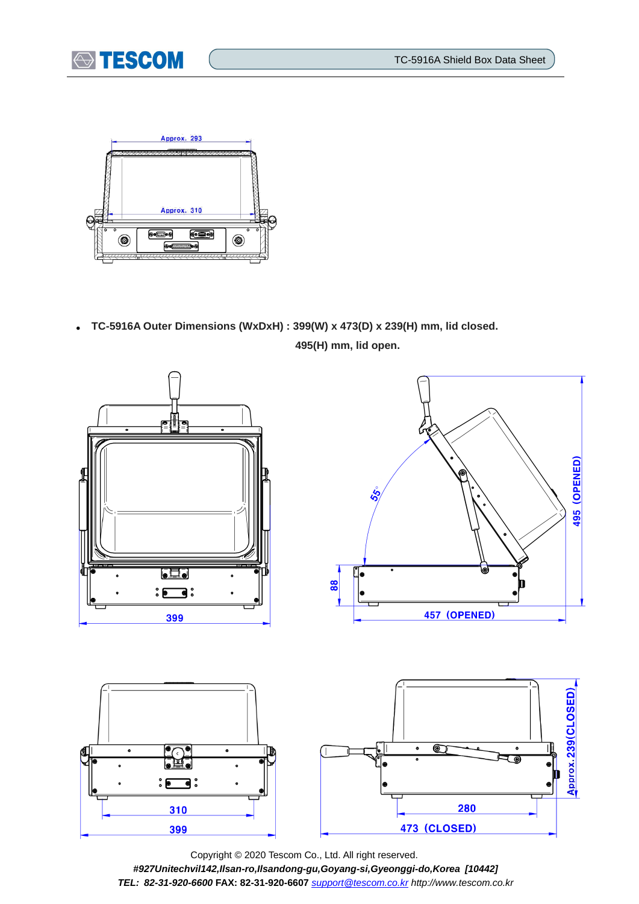



 **TC-5916A Outer Dimensions (WxDxH) : 399(W) x 473(D) x 239(H) mm, lid closed. 495(H) mm, lid open.**



Copyright © 2020 Tescom Co., Ltd. All right reserved. *#927Unitechvil142,Ilsan-ro,Ilsandong-gu,Goyang-si,Gyeonggi-do,Korea [10442] TEL: 82-31-920-6600* **FAX: 82-31-920-6607** *[support@tescom.co.kr](mailto:support@tescom.co.kr) http://www.tescom.co.kr*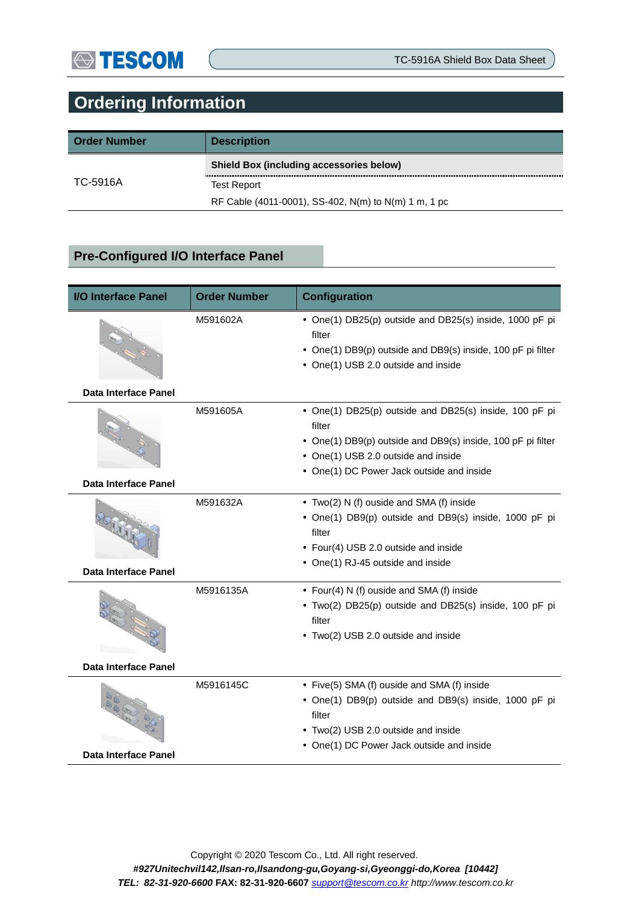# **Ordering Information**

| <b>Order Number</b> | <b>Description</b>                                   |
|---------------------|------------------------------------------------------|
|                     | <b>Shield Box (including accessories below)</b>      |
| TC-5916A            | <b>Test Report</b>                                   |
|                     | RF Cable (4011-0001), SS-402, N(m) to N(m) 1 m, 1 pc |

### **Pre-Configured I/O Interface Panel**

| <b>I/O Interface Panel</b>  | <b>Order Number</b> | <b>Configuration</b>                                                                                                                                                                                                |
|-----------------------------|---------------------|---------------------------------------------------------------------------------------------------------------------------------------------------------------------------------------------------------------------|
|                             | M591602A            | • One(1) DB25(p) outside and DB25(s) inside, 1000 pF pi<br>filter<br>• One(1) DB9(p) outside and DB9(s) inside, 100 pF pi filter<br>• One(1) USB 2.0 outside and inside                                             |
| Data Interface Panel        |                     |                                                                                                                                                                                                                     |
|                             | M591605A            | • One(1) DB25(p) outside and DB25(s) inside, 100 pF pi<br>filter<br>• One(1) DB9(p) outside and DB9(s) inside, 100 pF pi filter<br>• One(1) USB 2.0 outside and inside<br>• One(1) DC Power Jack outside and inside |
| Data Interface Panel        |                     |                                                                                                                                                                                                                     |
|                             | M591632A            | • Two(2) N (f) ouside and SMA (f) inside<br>• One(1) DB9(p) outside and DB9(s) inside, 1000 pF pi<br>filter<br>• Four(4) USB 2.0 outside and inside<br>• One(1) RJ-45 outside and inside                            |
| <b>Data Interface Panel</b> |                     |                                                                                                                                                                                                                     |
|                             | M5916135A           | • Four(4) N (f) ouside and SMA (f) inside<br>• Two(2) DB25(p) outside and DB25(s) inside, 100 pF pi<br>filter<br>• Two(2) USB 2.0 outside and inside                                                                |
| <b>Data Interface Panel</b> |                     |                                                                                                                                                                                                                     |
| Data Interface Panel        | M5916145C           | • Five(5) SMA (f) ouside and SMA (f) inside<br>• One(1) DB9(p) outside and DB9(s) inside, 1000 pF pi<br>filter<br>• Two(2) USB 2.0 outside and inside<br>• One(1) DC Power Jack outside and inside                  |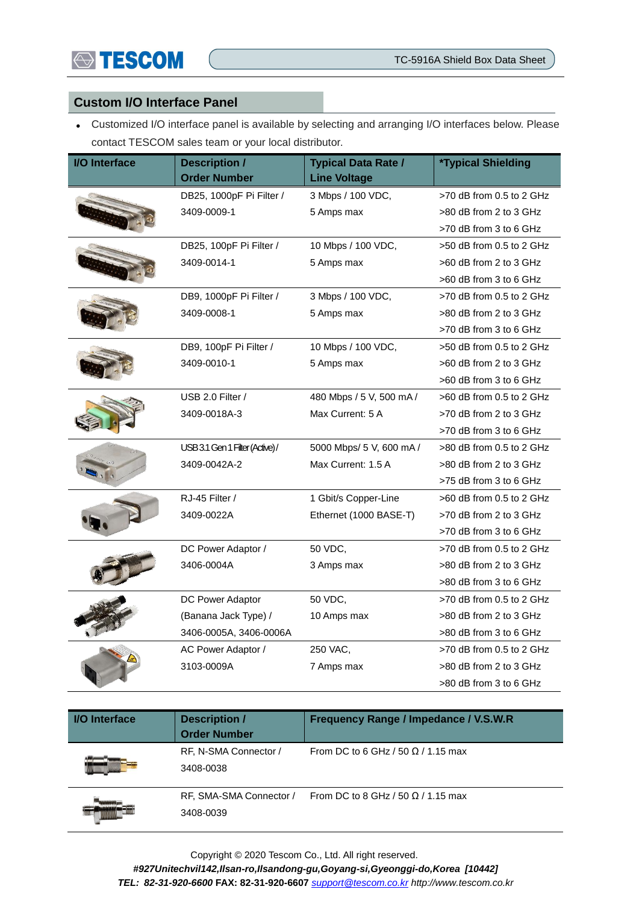

#### **Custom I/O Interface Panel**

 Customized I/O interface panel is available by selecting and arranging I/O interfaces below. Please contact TESCOM sales team or your local distributor.

| <b>I/O</b> Interface | <b>Description /</b><br><b>Order Number</b> | <b>Typical Data Rate /</b><br><b>Line Voltage</b> | <i><b>*Typical Shielding</b></i> |
|----------------------|---------------------------------------------|---------------------------------------------------|----------------------------------|
|                      | DB25, 1000pF Pi Filter /                    | 3 Mbps / 100 VDC,                                 | $>70$ dB from 0.5 to 2 GHz       |
|                      | 3409-0009-1                                 | 5 Amps max                                        | >80 dB from 2 to 3 GHz           |
|                      |                                             |                                                   | >70 dB from 3 to 6 GHz           |
|                      | DB25, 100pF Pi Filter /                     | 10 Mbps / 100 VDC,                                | $>50$ dB from 0.5 to 2 GHz       |
|                      | 3409-0014-1                                 | 5 Amps max                                        | >60 dB from 2 to 3 GHz           |
|                      |                                             |                                                   | >60 dB from 3 to 6 GHz           |
|                      | DB9, 1000pF Pi Filter /                     | 3 Mbps / 100 VDC,                                 | >70 dB from 0.5 to 2 GHz         |
|                      | 3409-0008-1                                 | 5 Amps max                                        | >80 dB from 2 to 3 GHz           |
|                      |                                             |                                                   | >70 dB from 3 to 6 GHz           |
|                      | DB9, 100pF Pi Filter /                      | 10 Mbps / 100 VDC,                                | >50 dB from 0.5 to 2 GHz         |
|                      | 3409-0010-1                                 | 5 Amps max                                        | >60 dB from 2 to 3 GHz           |
|                      |                                             |                                                   | >60 dB from 3 to 6 GHz           |
|                      | USB 2.0 Filter /                            | 480 Mbps / 5 V, 500 mA /                          | >60 dB from 0.5 to 2 GHz         |
|                      | 3409-0018A-3                                | Max Current: 5 A                                  | >70 dB from 2 to 3 GHz           |
|                      |                                             |                                                   | >70 dB from 3 to 6 GHz           |
|                      | USB 3.1 Gen 1 Filter (Active)/              | 5000 Mbps/ 5 V, 600 mA /                          | >80 dB from 0.5 to 2 GHz         |
|                      | 3409-0042A-2                                | Max Current: 1.5 A                                | >80 dB from 2 to 3 GHz           |
|                      |                                             |                                                   | >75 dB from 3 to 6 GHz           |
|                      | RJ-45 Filter /                              | 1 Gbit/s Copper-Line                              | >60 dB from 0.5 to 2 GHz         |
|                      | 3409-0022A                                  | Ethernet (1000 BASE-T)                            | >70 dB from 2 to 3 GHz           |
|                      |                                             |                                                   | >70 dB from 3 to 6 GHz           |
|                      | DC Power Adaptor /                          | 50 VDC,                                           | >70 dB from 0.5 to 2 GHz         |
|                      | 3406-0004A                                  | 3 Amps max                                        | >80 dB from 2 to 3 GHz           |
|                      |                                             |                                                   | >80 dB from 3 to 6 GHz           |
|                      | DC Power Adaptor                            | 50 VDC,                                           | >70 dB from 0.5 to 2 GHz         |
|                      | (Banana Jack Type) /                        | 10 Amps max                                       | >80 dB from 2 to 3 GHz           |
|                      | 3406-0005A, 3406-0006A                      |                                                   | >80 dB from 3 to 6 GHz           |
|                      | AC Power Adaptor /                          | 250 VAC,                                          | >70 dB from 0.5 to 2 GHz         |
|                      | 3103-0009A                                  | 7 Amps max                                        | >80 dB from 2 to 3 GHz           |
|                      |                                             |                                                   | >80 dB from 3 to 6 GHz           |

| <b>I/O</b> Interface | <b>Description /</b><br><b>Order Number</b> | Frequency Range / Impedance / V.S.W.R     |
|----------------------|---------------------------------------------|-------------------------------------------|
|                      | RF, N-SMA Connector /<br>3408-0038          | From DC to 6 GHz / 50 $\Omega$ / 1.15 max |
|                      | RF, SMA-SMA Connector /<br>3408-0039        | From DC to 8 GHz / 50 $\Omega$ / 1.15 max |